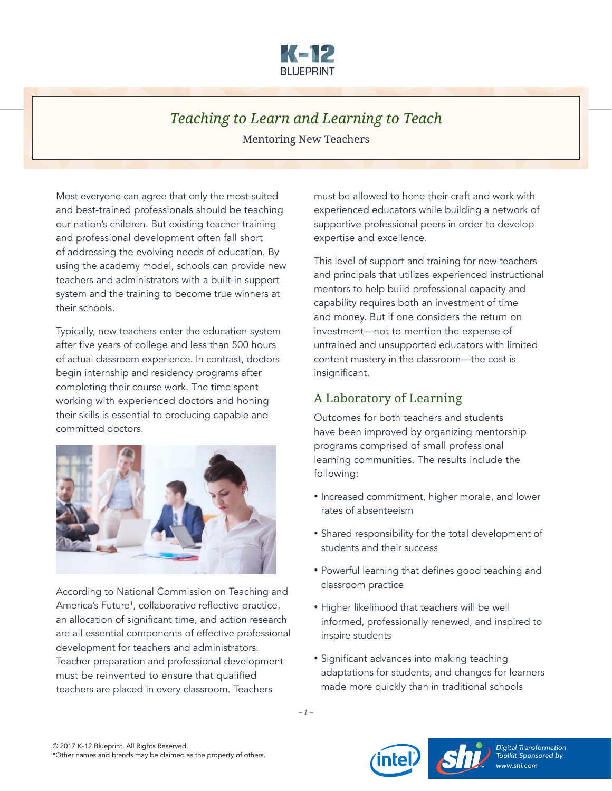

# *Teaching to Learn and Learning to Teach* Mentoring New Teachers

Most everyone can agree that only the most-suited and best-trained professionals should be teaching our nation's children. But existing teacher training and professional development often fall short of addressing the evolving needs of education. By using the academy model, schools can provide new teachers and administrators with a built-in support system and the training to become true winners at their schools.

Typically, new teachers enter the education system after five years of college and less than 500 hours of actual classroom experience. In contrast, doctors begin internship and residency programs after completing their course work. The time spent working with experienced doctors and honing their skills is essential to producing capable and committed doctors.



According to National Commission on Teaching and America's Future1 , collaborative reflective practice, an allocation of significant time, and action research are all essential components of effective professional development for teachers and administrators. Teacher preparation and professional development must be reinvented to ensure that qualified teachers are placed in every classroom. Teachers

must be allowed to hone their craft and work with experienced educators while building a network of supportive professional peers in order to develop expertise and excellence.

This level of support and training for new teachers and principals that utilizes experienced instructional mentors to help build professional capacity and capability requires both an investment of time and money. But if one considers the return on investment—not to mention the expense of untrained and unsupported educators with limited content mastery in the classroom—the cost is insignificant.

## A Laboratory of Learning

Outcomes for both teachers and students have been improved by organizing mentorship programs comprised of small professional learning communities. The results include the following:

- Increased commitment, higher morale, and lower rates of absenteeism
- Shared responsibility for the total development of students and their success
- Powerful learning that defines good teaching and classroom practice
- Higher likelihood that teachers will be well informed, professionally renewed, and inspired to inspire students
- Significant advances into making teaching adaptations for students, and changes for learners made more quickly than in traditional schools





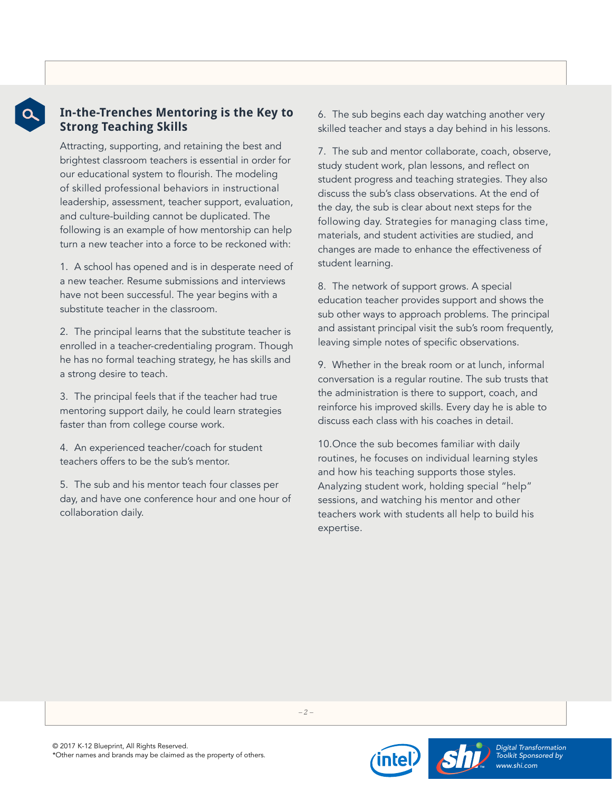

### **In-the-Trenches Mentoring is the Key to Strong Teaching Skills**

Attracting, supporting, and retaining the best and brightest classroom teachers is essential in order for our educational system to flourish. The modeling of skilled professional behaviors in instructional leadership, assessment, teacher support, evaluation, and culture-building cannot be duplicated. The following is an example of how mentorship can help turn a new teacher into a force to be reckoned with:

1. A school has opened and is in desperate need of a new teacher. Resume submissions and interviews have not been successful. The year begins with a substitute teacher in the classroom.

2. The principal learns that the substitute teacher is enrolled in a teacher-credentialing program. Though he has no formal teaching strategy, he has skills and a strong desire to teach.

3. The principal feels that if the teacher had true mentoring support daily, he could learn strategies faster than from college course work.

4. An experienced teacher/coach for student teachers offers to be the sub's mentor.

5. The sub and his mentor teach four classes per day, and have one conference hour and one hour of collaboration daily.

6. The sub begins each day watching another very skilled teacher and stays a day behind in his lessons.

7. The sub and mentor collaborate, coach, observe, study student work, plan lessons, and reflect on student progress and teaching strategies. They also discuss the sub's class observations. At the end of the day, the sub is clear about next steps for the following day. Strategies for managing class time, materials, and student activities are studied, and changes are made to enhance the effectiveness of student learning.

8. The network of support grows. A special education teacher provides support and shows the sub other ways to approach problems. The principal and assistant principal visit the sub's room frequently, leaving simple notes of specific observations.

9. Whether in the break room or at lunch, informal conversation is a regular routine. The sub trusts that the administration is there to support, coach, and reinforce his improved skills. Every day he is able to discuss each class with his coaches in detail.

10.Once the sub becomes familiar with daily routines, he focuses on individual learning styles and how his teaching supports those styles. Analyzing student work, holding special "help" sessions, and watching his mentor and other teachers work with students all help to build his expertise.



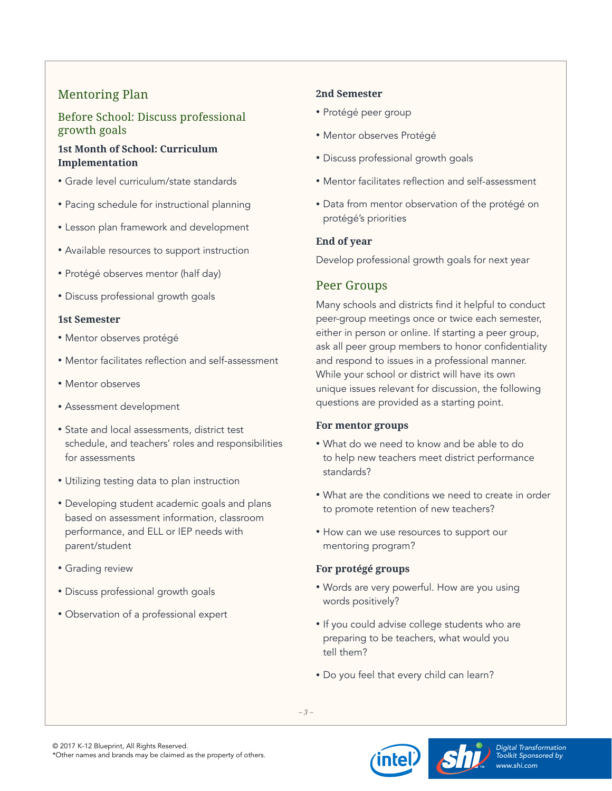# Mentoring Plan

### Before School: Discuss professional growth goals

#### **1st Month of School: Curriculum Implementation**

- Grade level curriculum/state standards
- Pacing schedule for instructional planning
- Lesson plan framework and development
- Available resources to support instruction
- Protégé observes mentor (half day)
- Discuss professional growth goals

#### **1st Semester**

- Mentor observes protégé
- Mentor facilitates reflection and self-assessment
- Mentor observes
- Assessment development
- State and local assessments, district test schedule, and teachers' roles and responsibilities for assessments
- Utilizing testing data to plan instruction
- Developing student academic goals and plans based on assessment information, classroom performance, and ELL or IEP needs with parent/student
- Grading review
- Discuss professional growth goals
- Observation of a professional expert

### **2nd Semester**

- Protégé peer group
- Mentor observes Protégé
- Discuss professional growth goals
- Mentor facilitates reflection and self-assessment
- Data from mentor observation of the protégé on protégé's priorities

### **End of year**

Develop professional growth goals for next year

# Peer Groups

Many schools and districts find it helpful to conduct peer-group meetings once or twice each semester, either in person or online. If starting a peer group, ask all peer group members to honor confidentiality and respond to issues in a professional manner. While your school or district will have its own unique issues relevant for discussion, the following questions are provided as a starting point.

#### **For mentor groups**

- What do we need to know and be able to do to help new teachers meet district performance standards?
- What are the conditions we need to create in order to promote retention of new teachers?
- How can we use resources to support our mentoring program?

### **For protégé groups**

- Words are very powerful. How are you using words positively?
- If you could advise college students who are preparing to be teachers, what would you tell them?
- Do you feel that every child can learn?